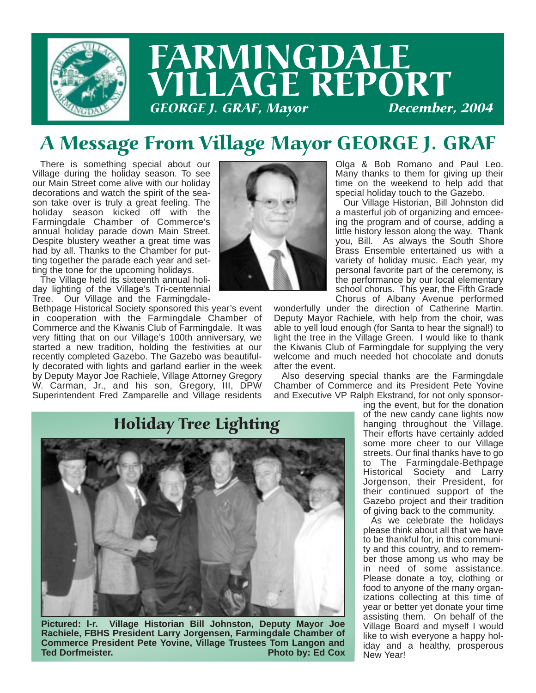

## A Message From Village Mayor GEORGE J. GRAF

There is something special about our Village during the holiday season. To see our Main Street come alive with our holiday decorations and watch the spirit of the season take over is truly a great feeling. The holiday season kicked off with the Farmingdale Chamber of Commerce's annual holiday parade down Main Street. Despite blustery weather a great time was had by all. Thanks to the Chamber for putting together the parade each year and setting the tone for the upcoming holidays.

The Village held its sixteenth annual holiday lighting of the Village's Tri-centennial Tree. Our Village and the Farmingdale-

Bethpage Historical Society sponsored this year's event in cooperation with the Farmingdale Chamber of Commerce and the Kiwanis Club of Farmingdale. It was very fitting that on our Village's 100th anniversary, we started a new tradition, holding the festivities at our recently completed Gazebo. The Gazebo was beautifully decorated with lights and garland earlier in the week by Deputy Mayor Joe Rachiele, Village Attorney Gregory W. Carman, Jr., and his son, Gregory, III, DPW Superintendent Fred Zamparelle and Village residents



Olga & Bob Romano and Paul Leo. Many thanks to them for giving up their time on the weekend to help add that special holiday touch to the Gazebo.

Our Village Historian, Bill Johnston did a masterful job of organizing and emceeing the program and of course, adding a little history lesson along the way. Thank you, Bill. As always the South Shore Brass Ensemble entertained us with a variety of holiday music. Each year, my personal favorite part of the ceremony, is the performance by our local elementary school chorus. This year, the Fifth Grade Chorus of Albany Avenue performed

wonderfully under the direction of Catherine Martin. Deputy Mayor Rachiele, with help from the choir, was able to yell loud enough (for Santa to hear the signal!) to light the tree in the Village Green. I would like to thank the Kiwanis Club of Farmingdale for supplying the very welcome and much needed hot chocolate and donuts after the event.

Also deserving special thanks are the Farmingdale Chamber of Commerce and its President Pete Yovine and Executive VP Ralph Ekstrand, for not only sponsor-

# Holiday Tree Lighting



**Pictured: l-r. Village Historian Bill Johnston, Deputy Mayor Joe Rachiele, FBHS President Larry Jorgensen, Farmingdale Chamber of Commerce President Pete Yovine, Village Trustees Tom Langon and Photo by: Ed Cox** 

ing the event, but for the donation of the new candy cane lights now hanging throughout the Village. Their efforts have certainly added some more cheer to our Village streets. Our final thanks have to go to The Farmingdale-Bethpage Historical Society and Larry Jorgenson, their President, for their continued support of the Gazebo project and their tradition of giving back to the community.

As we celebrate the holidays please think about all that we have to be thankful for, in this community and this country, and to remember those among us who may be in need of some assistance. Please donate a toy, clothing or food to anyone of the many organizations collecting at this time of year or better yet donate your time assisting them. On behalf of the Village Board and myself I would like to wish everyone a happy holiday and a healthy, prosperous New Year!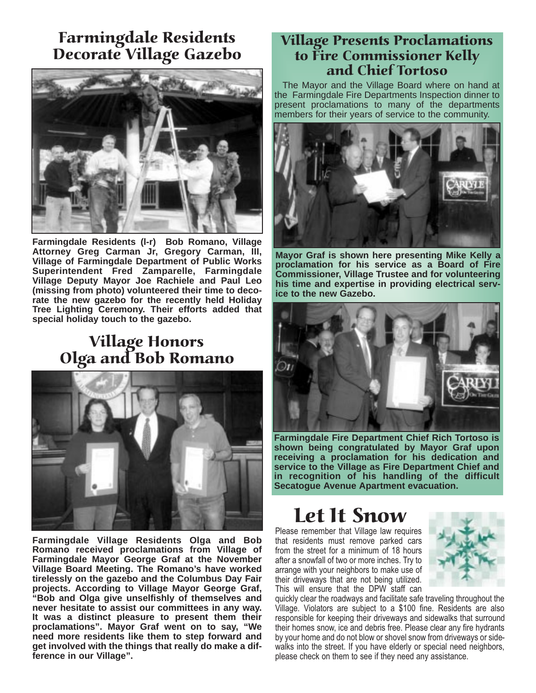## Farmingdale Residents Decorate Village Gazebo



**Farmingdale Residents (l-r) Bob Romano, Village Attorney Greg Carman Jr, Gregory Carman, III, Village of Farmingdale Department of Public Works Superintendent Fred Zamparelle, Farmingdale Village Deputy Mayor Joe Rachiele and Paul Leo (missing from photo) volunteered their time to decorate the new gazebo for the recently held Holiday Tree Lighting Ceremony. Their efforts added that special holiday touch to the gazebo.**

## Village Honors Olga and Bob Romano



**Farmingdale Village Residents Olga and Bob Romano received proclamations from Village of Farmingdale Mayor George Graf at the November Village Board Meeting. The Romano's have worked tirelessly on the gazebo and the Columbus Day Fair projects. According to Village Mayor George Graf, "Bob and Olga give unselfishly of themselves and never hesitate to assist our committees in any way. It was a distinct pleasure to present them their proclamations". Mayor Graf went on to say, "We need more residents like them to step forward and get involved with the things that really do make a difference in our Village".**

#### Village Presents Proclamations to Fire Commissioner Kelly and Chief Tortoso

The Mayor and the Village Board where on hand at the Farmingdale Fire Departments Inspection dinner to present proclamations to many of the departments members for their years of service to the community.



**Mayor Graf is shown here presenting Mike Kelly a proclamation for his service as a Board of Fire Commissioner, Village Trustee and for volunteering his time and expertise in providing electrical service to the new Gazebo.**



**Farmingdale Fire Department Chief Rich Tortoso is shown being congratulated by Mayor Graf upon receiving a proclamation for his dedication and service to the Village as Fire Department Chief and in recognition of his handling of the difficult Secatogue Avenue Apartment evacuation.**

## Let It Snow

Please remember that Village law requires that residents must remove parked cars from the street for a minimum of 18 hours after a snowfall of two or more inches. Try to arrange with your neighbors to make use of their driveways that are not being utilized. This will ensure that the DPW staff can



quickly clear the roadways and facilitate safe traveling throughout the Village. Violators are subject to a \$100 fine. Residents are also responsible for keeping their driveways and sidewalks that surround their homes snow, ice and debris free. Please clear any fire hydrants by your home and do not blow or shovel snow from driveways or sidewalks into the street. If you have elderly or special need neighbors, please check on them to see if they need any assistance.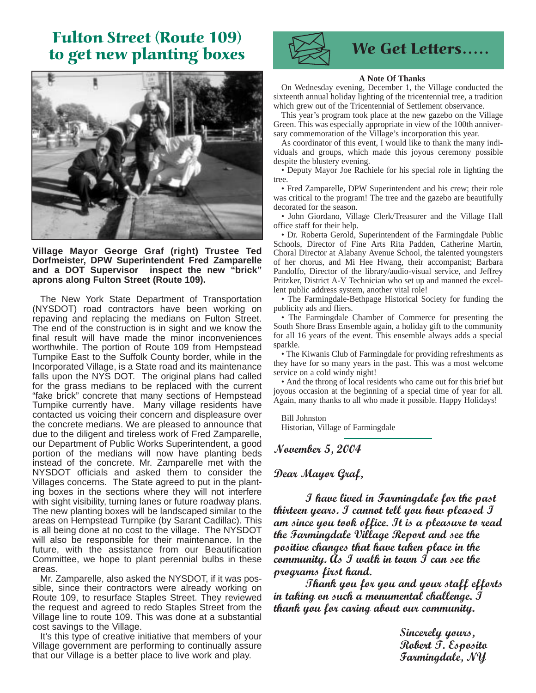### Fulton Street (Route 109) to get new planting boxes Van We Get Letters.....



**Village Mayor George Graf (right) Trustee Ted Dorfmeister, DPW Superintendent Fred Zamparelle and a DOT Supervisor inspect the new "brick" aprons along Fulton Street (Route 109).** 

The New York State Department of Transportation (NYSDOT) road contractors have been working on repaving and replacing the medians on Fulton Street. The end of the construction is in sight and we know the final result will have made the minor inconveniences worthwhile. The portion of Route 109 from Hempstead Turnpike East to the Suffolk County border, while in the Incorporated Village, is a State road and its maintenance falls upon the NYS DOT. The original plans had called for the grass medians to be replaced with the current "fake brick" concrete that many sections of Hempstead Turnpike currently have. Many village residents have contacted us voicing their concern and displeasure over the concrete medians. We are pleased to announce that due to the diligent and tireless work of Fred Zamparelle, our Department of Public Works Superintendent, a good portion of the medians will now have planting beds instead of the concrete. Mr. Zamparelle met with the NYSDOT officials and asked them to consider the Villages concerns. The State agreed to put in the planting boxes in the sections where they will not interfere with sight visibility, turning lanes or future roadway plans. The new planting boxes will be landscaped similar to the areas on Hempstead Turnpike (by Sarant Cadillac). This is all being done at no cost to the village. The NYSDOT will also be responsible for their maintenance. In the future, with the assistance from our Beautification Committee, we hope to plant perennial bulbs in these areas.

Mr. Zamparelle, also asked the NYSDOT, if it was possible, since their contractors were already working on Route 109, to resurface Staples Street. They reviewed the request and agreed to redo Staples Street from the Village line to route 109. This was done at a substantial cost savings to the Village.

It's this type of creative initiative that members of your Village government are performing to continually assure that our Village is a better place to live work and play.



#### **A Note Of Thanks**

On Wednesday evening, December 1, the Village conducted the sixteenth annual holiday lighting of the tricentennial tree, a tradition which grew out of the Tricentennial of Settlement observance.

This year's program took place at the new gazebo on the Village Green. This was especially appropriate in view of the 100th anniversary commemoration of the Village's incorporation this year.

As coordinator of this event, I would like to thank the many individuals and groups, which made this joyous ceremony possible despite the blustery evening.

• Deputy Mayor Joe Rachiele for his special role in lighting the tree.

• Fred Zamparelle, DPW Superintendent and his crew; their role was critical to the program! The tree and the gazebo are beautifully decorated for the season.

• John Giordano, Village Clerk/Treasurer and the Village Hall office staff for their help.

• Dr. Roberta Gerold, Superintendent of the Farmingdale Public Schools, Director of Fine Arts Rita Padden, Catherine Martin, Choral Director at Alabany Avenue School, the talented youngsters of her chorus, and Mi Hee Hwang, their accompanist; Barbara Pandolfo, Director of the library/audio-visual service, and Jeffrey Pritzker, District A-V Technician who set up and manned the excellent public address system, another vital role!

• The Farmingdale-Bethpage Historical Society for funding the publicity ads and fliers.

• The Farmingdale Chamber of Commerce for presenting the South Shore Brass Ensemble again, a holiday gift to the community for all 16 years of the event. This ensemble always adds a special sparkle.

• The Kiwanis Club of Farmingdale for providing refreshments as they have for so many years in the past. This was a most welcome service on a cold windy night!

• And the throng of local residents who came out for this brief but joyous occasion at the beginning of a special time of year for all. Again, many thanks to all who made it possible. Happy Holidays!

Bill Johnston Historian, Village of Farmingdale

November 5, 2004

#### Dear Mayor Graf,

I have lived in Farmingdale for the past thirteen years. I cannot tell you how pleased  $J$ am since you took office. It is a pleasure to read the Farmingdale Village Report and see the positive changes that have taken place in the community. As  $\mathcal I$  walk in town  $\mathcal I$  can see the programs first hand.

Thank you for you and your staff efforts in taking on such a monumental challenge.  $J$ thank you for caring about our community.

> Sincerely yours, Robert *J.* Esposito Farmingdale, NY